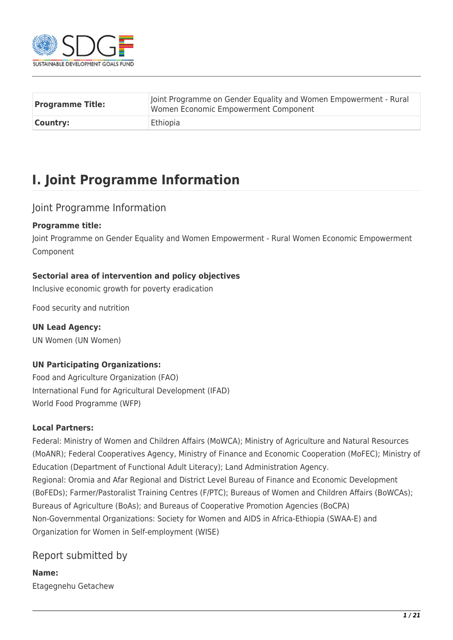

| <b>Programme Title:</b> | Joint Programme on Gender Equality and Women Empowerment - Rural<br>Women Economic Empowerment Component |
|-------------------------|----------------------------------------------------------------------------------------------------------|
| Country:                | Ethiopia                                                                                                 |

# **I. Joint Programme Information**

## Joint Programme Information

### **Programme title:**

Joint Programme on Gender Equality and Women Empowerment - Rural Women Economic Empowerment Component

## **Sectorial area of intervention and policy objectives**

Inclusive economic growth for poverty eradication

Food security and nutrition

**UN Lead Agency:**  UN Women (UN Women)

## **UN Participating Organizations:**

Food and Agriculture Organization (FAO) International Fund for Agricultural Development (IFAD) World Food Programme (WFP)

### **Local Partners:**

Federal: Ministry of Women and Children Affairs (MoWCA); Ministry of Agriculture and Natural Resources (MoANR); Federal Cooperatives Agency, Ministry of Finance and Economic Cooperation (MoFEC); Ministry of Education (Department of Functional Adult Literacy); Land Administration Agency. Regional: Oromia and Afar Regional and District Level Bureau of Finance and Economic Development (BoFEDs); Farmer/Pastoralist Training Centres (F/PTC); Bureaus of Women and Children Affairs (BoWCAs); Bureaus of Agriculture (BoAs); and Bureaus of Cooperative Promotion Agencies (BoCPA) Non-Governmental Organizations: Society for Women and AIDS in Africa-Ethiopia (SWAA-E) and Organization for Women in Self-employment (WISE)

## Report submitted by

**Name:**  Etagegnehu Getachew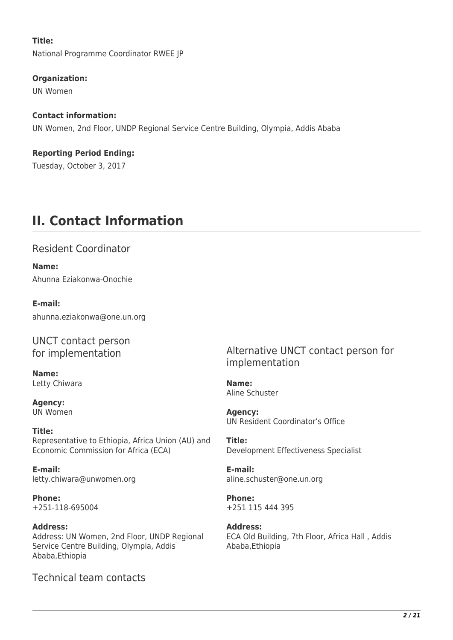### **Title:**

National Programme Coordinator RWEE JP

### **Organization:**

UN Women

### **Contact information:**

UN Women, 2nd Floor, UNDP Regional Service Centre Building, Olympia, Addis Ababa

### **Reporting Period Ending:**  Tuesday, October 3, 2017

# **II. Contact Information**

## Resident Coordinator

**Name:**  Ahunna Eziakonwa-Onochie

### **E-mail:**

ahunna.eziakonwa@one.un.org

## UNCT contact person for implementation

**Name:**  Letty Chiwara

**Agency:**  UN Women

#### **Title:**  Representative to Ethiopia, Africa Union (AU) and Economic Commission for Africa (ECA)

**E-mail:**  letty.chiwara@unwomen.org

**Phone:**  +251-118-695004

### **Address:**  Address: UN Women, 2nd Floor, UNDP Regional Service Centre Building, Olympia, Addis Ababa,Ethiopia

Technical team contacts

## Alternative UNCT contact person for implementation

**Name:**  Aline Schuster

**Agency:**  UN Resident Coordinator's Office

**Title:**  Development Effectiveness Specialist

**E-mail:**  aline.schuster@one.un.org

**Phone:**  +251 115 444 395

### **Address:**  ECA Old Building, 7th Floor, Africa Hall , Addis Ababa,Ethiopia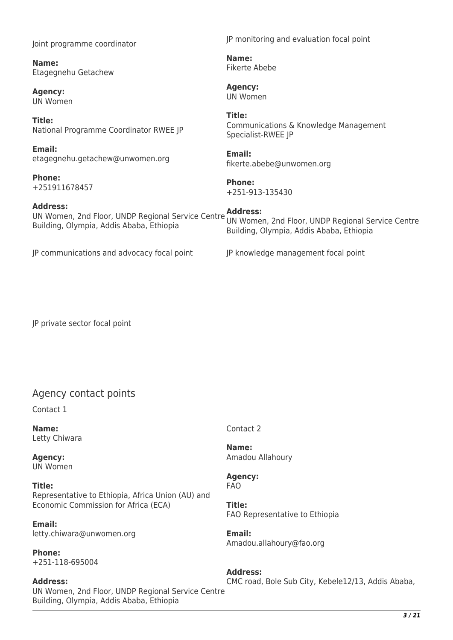Joint programme coordinator

**Name:**  Etagegnehu Getachew

**Agency:**  UN Women

**Title:**  National Programme Coordinator RWEE JP

**Email:**  etagegnehu.getachew@unwomen.org

**Phone:**  +251911678457

#### **Address:**

UN Women, 2nd Floor, UNDP Regional Service Centre **Address:**  Building, Olympia, Addis Ababa, Ethiopia UN Women, 2nd Floor, UNDP Regional Service Centre Building, Olympia, Addis Ababa, Ethiopia

JP communications and advocacy focal point JP knowledge management focal point

JP private sector focal point

## Agency contact points

Contact 1

**Name:**  Letty Chiwara

**Agency:**  UN Women

**Title:**  Representative to Ethiopia, Africa Union (AU) and Economic Commission for Africa (ECA)

**Email:**  letty.chiwara@unwomen.org

**Phone:**  +251-118-695004

### **Address:**

UN Women, 2nd Floor, UNDP Regional Service Centre Building, Olympia, Addis Ababa, Ethiopia

Contact 2

**Name:**  Amadou Allahoury

**Agency:**  FAO

**Title:**  FAO Representative to Ethiopia

**Email:**  Amadou.allahoury@fao.org

**Address:**  CMC road, Bole Sub City, Kebele12/13, Addis Ababa,

JP monitoring and evaluation focal point

**Name:**  Fikerte Abebe

**Agency:**  UN Women

### **Title:**

Communications & Knowledge Management Specialist-RWEE JP

## **Email:**

fikerte.abebe@unwomen.org

#### **Phone:**  +251-913-135430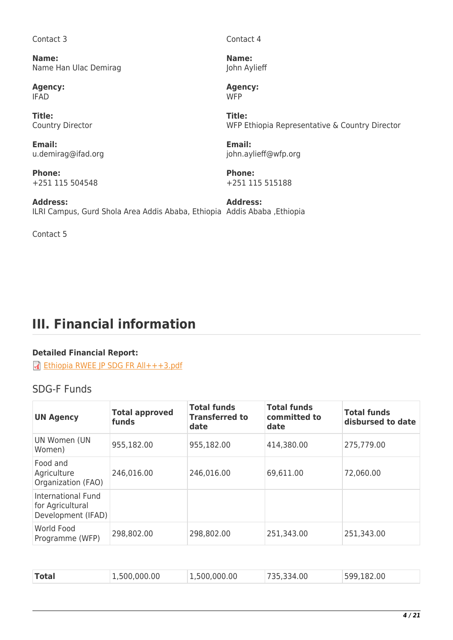Contact 3

**Name:**  Name Han Ulac Demirag

**Agency:**  IFAD

**Title:**  Country Director

**Email:**  u.demirag@ifad.org

**Phone:**  +251 115 504548

**Address:**  ILRI Campus, Gurd Shola Area Addis Ababa, Ethiopia Addis Ababa ,Ethiopia **Address:** 

Contact 5

Contact 4

**Name:**  John Aylieff

**Agency:**  W<sub>FP</sub>

**Title:**  WFP Ethiopia Representative & Country Director

**Email:**  john.aylieff@wfp.org

**Phone:**  +251 115 515188

# **III. Financial information**

## **Detailed Financial Report:**

Thiopia RWEE JP SDG FR All+++3.pdf

## SDG-F Funds

| <b>UN Agency</b>                                             | <b>Total approved</b><br>funds | <b>Total funds</b><br><b>Transferred to</b><br>date | <b>Total funds</b><br>committed to<br>date | <b>Total funds</b><br>disbursed to date |
|--------------------------------------------------------------|--------------------------------|-----------------------------------------------------|--------------------------------------------|-----------------------------------------|
| UN Women (UN<br>Women)                                       | 955,182.00                     | 955,182.00                                          | 414,380.00                                 | 275,779.00                              |
| Food and<br>Agriculture<br>Organization (FAO)                | 246,016.00                     | 246,016.00                                          | 69,611.00                                  | 72,060.00                               |
| International Fund<br>for Agricultural<br>Development (IFAD) |                                |                                                     |                                            |                                         |
| World Food<br>Programme (WFP)                                | 298,802.00                     | 298,802.00                                          | 251,343.00                                 | 251,343.00                              |

| <b>Total</b><br>.500.000.00 | ,500,000.00 | 34.00 | .82.00<br>599 |  |
|-----------------------------|-------------|-------|---------------|--|
|-----------------------------|-------------|-------|---------------|--|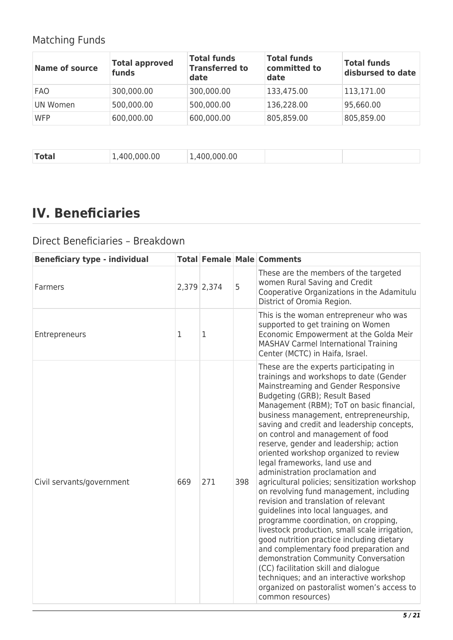## Matching Funds

| <b>Name of source</b> | <b>Total approved</b><br>funds | <b>Total funds</b><br><b>Transferred to</b><br>date | <b>Total funds</b><br>committed to<br>date | <b>Total funds</b><br>disbursed to date |
|-----------------------|--------------------------------|-----------------------------------------------------|--------------------------------------------|-----------------------------------------|
| <b>FAO</b>            | 300,000.00                     | 300,000.00                                          | 133,475.00                                 | 113,171.00                              |
| UN Women              | 500,000.00                     | 500,000.00                                          | 136,228.00                                 | 95,660.00                               |
| <b>WFP</b>            | 600,000.00                     | 600,000.00                                          | 805,859.00                                 | 805,859.00                              |

|--|

# **IV. Beneficiaries**

## Direct Beneficiaries – Breakdown

| <b>Beneficiary type - individual</b> |     |             |     | <b>Total Female Male Comments</b>                                                                                                                                                                                                                                                                                                                                                                                                                                                                                                                                                                                                                                                                                                                                                                                                                                                                                                                                                                                                                     |
|--------------------------------------|-----|-------------|-----|-------------------------------------------------------------------------------------------------------------------------------------------------------------------------------------------------------------------------------------------------------------------------------------------------------------------------------------------------------------------------------------------------------------------------------------------------------------------------------------------------------------------------------------------------------------------------------------------------------------------------------------------------------------------------------------------------------------------------------------------------------------------------------------------------------------------------------------------------------------------------------------------------------------------------------------------------------------------------------------------------------------------------------------------------------|
| Farmers                              |     | 2,379 2,374 | 5   | These are the members of the targeted<br>women Rural Saving and Credit<br>Cooperative Organizations in the Adamitulu<br>District of Oromia Region.                                                                                                                                                                                                                                                                                                                                                                                                                                                                                                                                                                                                                                                                                                                                                                                                                                                                                                    |
| Entrepreneurs                        | 1   | 1           |     | This is the woman entrepreneur who was<br>supported to get training on Women<br>Economic Empowerment at the Golda Meir<br><b>MASHAV Carmel International Training</b><br>Center (MCTC) in Haifa, Israel.                                                                                                                                                                                                                                                                                                                                                                                                                                                                                                                                                                                                                                                                                                                                                                                                                                              |
| Civil servants/government            | 669 | 271         | 398 | These are the experts participating in<br>trainings and workshops to date (Gender<br>Mainstreaming and Gender Responsive<br>Budgeting (GRB); Result Based<br>Management (RBM); ToT on basic financial,<br>business management, entrepreneurship,<br>saving and credit and leadership concepts,<br>on control and management of food<br>reserve, gender and leadership; action<br>oriented workshop organized to review<br>legal frameworks, land use and<br>administration proclamation and<br>agricultural policies; sensitization workshop<br>on revolving fund management, including<br>revision and translation of relevant<br>guidelines into local languages, and<br>programme coordination, on cropping,<br>livestock production, small scale irrigation,<br>good nutrition practice including dietary<br>and complementary food preparation and<br>demonstration Community Conversation<br>(CC) facilitation skill and dialogue<br>techniques; and an interactive workshop<br>organized on pastoralist women's access to<br>common resources) |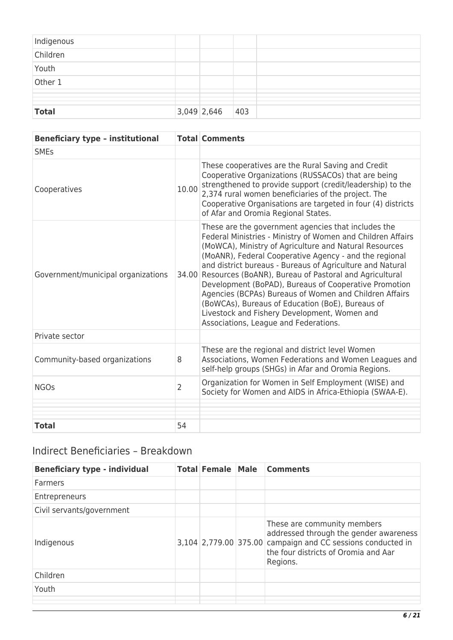| Indigenous   |               |               |  |
|--------------|---------------|---------------|--|
| Children     |               |               |  |
| Youth        |               |               |  |
| Other 1      |               |               |  |
|              |               |               |  |
|              |               |               |  |
| <b>Total</b> | $3,049$ 2,646 | $ 403\rangle$ |  |

| <b>Beneficiary type - institutional</b> |                | <b>Total Comments</b>                                                                                                                                                                                                                                                                                                                                                                                                                                                                                                                                                                                                         |
|-----------------------------------------|----------------|-------------------------------------------------------------------------------------------------------------------------------------------------------------------------------------------------------------------------------------------------------------------------------------------------------------------------------------------------------------------------------------------------------------------------------------------------------------------------------------------------------------------------------------------------------------------------------------------------------------------------------|
| <b>SMEs</b>                             |                |                                                                                                                                                                                                                                                                                                                                                                                                                                                                                                                                                                                                                               |
| Cooperatives                            | 10.00          | These cooperatives are the Rural Saving and Credit<br>Cooperative Organizations (RUSSACOs) that are being<br>strengthened to provide support (credit/leadership) to the<br>2,374 rural women beneficiaries of the project. The<br>Cooperative Organisations are targeted in four (4) districts<br>of Afar and Oromia Regional States.                                                                                                                                                                                                                                                                                         |
| Government/municipal organizations      | 34.00          | These are the government agencies that includes the<br>Federal Ministries - Ministry of Women and Children Affairs<br>(MoWCA), Ministry of Agriculture and Natural Resources<br>(MoANR), Federal Cooperative Agency - and the regional<br>and district bureaus - Bureaus of Agriculture and Natural<br>Resources (BoANR), Bureau of Pastoral and Agricultural<br>Development (BoPAD), Bureaus of Cooperative Promotion<br>Agencies (BCPAs) Bureaus of Women and Children Affairs<br>(BoWCAs), Bureaus of Education (BoE), Bureaus of<br>Livestock and Fishery Development, Women and<br>Associations, League and Federations. |
| Private sector                          |                |                                                                                                                                                                                                                                                                                                                                                                                                                                                                                                                                                                                                                               |
| Community-based organizations           | 8              | These are the regional and district level Women<br>Associations, Women Federations and Women Leagues and<br>self-help groups (SHGs) in Afar and Oromia Regions.                                                                                                                                                                                                                                                                                                                                                                                                                                                               |
| <b>NGOs</b>                             | $\overline{2}$ | Organization for Women in Self Employment (WISE) and<br>Society for Women and AIDS in Africa-Ethiopia (SWAA-E).                                                                                                                                                                                                                                                                                                                                                                                                                                                                                                               |
|                                         |                |                                                                                                                                                                                                                                                                                                                                                                                                                                                                                                                                                                                                                               |
| <b>Total</b>                            | 54             |                                                                                                                                                                                                                                                                                                                                                                                                                                                                                                                                                                                                                               |

## Indirect Beneficiaries – Breakdown

| <b>Beneficiary type - individual</b> | <b>Total Female Male</b> | <b>Comments</b>                                                                                                                                                                          |
|--------------------------------------|--------------------------|------------------------------------------------------------------------------------------------------------------------------------------------------------------------------------------|
| Farmers                              |                          |                                                                                                                                                                                          |
| Entrepreneurs                        |                          |                                                                                                                                                                                          |
| Civil servants/government            |                          |                                                                                                                                                                                          |
| Indigenous                           |                          | These are community members<br>addressed through the gender awareness<br>3,104 2,779.00 375.00 campaign and CC sessions conducted in<br>the four districts of Oromia and Aar<br>Regions. |
| Children                             |                          |                                                                                                                                                                                          |
| Youth                                |                          |                                                                                                                                                                                          |
|                                      |                          |                                                                                                                                                                                          |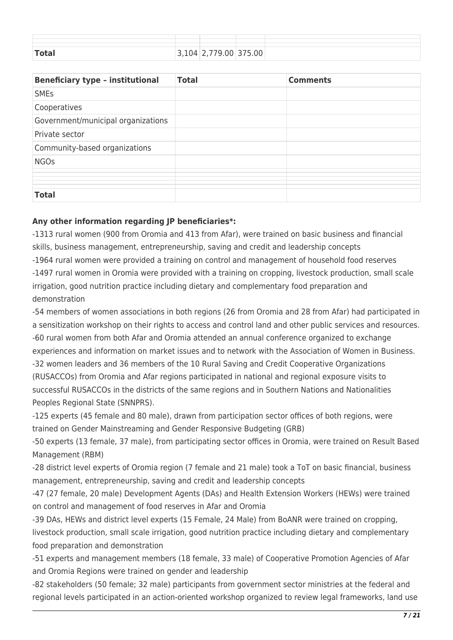| <b>Total</b> | 7 Q | 79.00 375.00 |
|--------------|-----|--------------|

| <b>Beneficiary type - institutional</b> | <b>Total</b> | <b>Comments</b> |
|-----------------------------------------|--------------|-----------------|
| <b>SMEs</b>                             |              |                 |
| Cooperatives                            |              |                 |
| Government/municipal organizations      |              |                 |
| Private sector                          |              |                 |
| Community-based organizations           |              |                 |
| <b>NGOs</b>                             |              |                 |
|                                         |              |                 |
|                                         |              |                 |
|                                         |              |                 |
| <b>Total</b>                            |              |                 |

### **Any other information regarding JP beneficiaries\*:**

-1313 rural women (900 from Oromia and 413 from Afar), were trained on basic business and financial skills, business management, entrepreneurship, saving and credit and leadership concepts -1964 rural women were provided a training on control and management of household food reserves -1497 rural women in Oromia were provided with a training on cropping, livestock production, small scale irrigation, good nutrition practice including dietary and complementary food preparation and demonstration

-54 members of women associations in both regions (26 from Oromia and 28 from Afar) had participated in a sensitization workshop on their rights to access and control land and other public services and resources. -60 rural women from both Afar and Oromia attended an annual conference organized to exchange experiences and information on market issues and to network with the Association of Women in Business. -32 women leaders and 36 members of the 10 Rural Saving and Credit Cooperative Organizations (RUSACCOs) from Oromia and Afar regions participated in national and regional exposure visits to successful RUSACCOs in the districts of the same regions and in Southern Nations and Nationalities Peoples Regional State (SNNPRS).

-125 experts (45 female and 80 male), drawn from participation sector offices of both regions, were trained on Gender Mainstreaming and Gender Responsive Budgeting (GRB)

-50 experts (13 female, 37 male), from participating sector offices in Oromia, were trained on Result Based Management (RBM)

-28 district level experts of Oromia region (7 female and 21 male) took a ToT on basic financial, business management, entrepreneurship, saving and credit and leadership concepts

-47 (27 female, 20 male) Development Agents (DAs) and Health Extension Workers (HEWs) were trained on control and management of food reserves in Afar and Oromia

-39 DAs, HEWs and district level experts (15 Female, 24 Male) from BoANR were trained on cropping, livestock production, small scale irrigation, good nutrition practice including dietary and complementary food preparation and demonstration

-51 experts and management members (18 female, 33 male) of Cooperative Promotion Agencies of Afar and Oromia Regions were trained on gender and leadership

-82 stakeholders (50 female; 32 male) participants from government sector ministries at the federal and regional levels participated in an action-oriented workshop organized to review legal frameworks, land use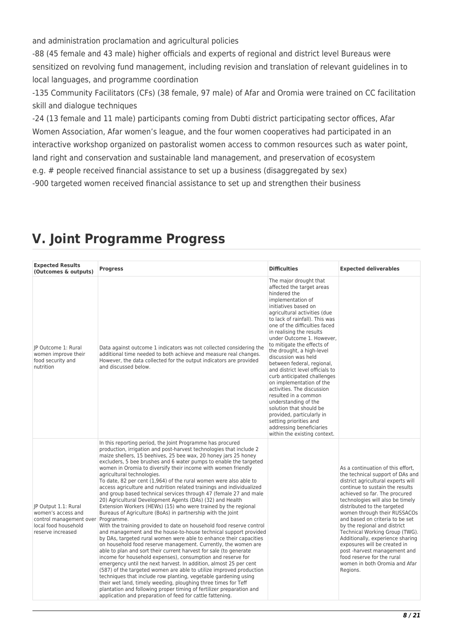and administration proclamation and agricultural policies

-88 (45 female and 43 male) higher officials and experts of regional and district level Bureaus were sensitized on revolving fund management, including revision and translation of relevant guidelines in to local languages, and programme coordination

-135 Community Facilitators (CFs) (38 female, 97 male) of Afar and Oromia were trained on CC facilitation skill and dialogue techniques

-24 (13 female and 11 male) participants coming from Dubti district participating sector offices, Afar Women Association, Afar women's league, and the four women cooperatives had participated in an interactive workshop organized on pastoralist women access to common resources such as water point, land right and conservation and sustainable land management, and preservation of ecosystem e.g. # people received financial assistance to set up a business (disaggregated by sex) -900 targeted women received financial assistance to set up and strengthen their business

| <b>Expected Results</b><br>(Outcomes & outputs)                                                                    | <b>Progress</b>                                                                                                                                                                                                                                                                                                                                                                                                                                                                                                                                                                                                                                                                                                                                                                                                                                                                                                                                                                                                                                                                                                                                                                                                                                                                                                                                                                                                                                                                                                                                                                                                                                       | <b>Difficulties</b>                                                                                                                                                                                                                                                                                                                                                                                                                                                                                                                                                                                                                                                                                                    | <b>Expected deliverables</b>                                                                                                                                                                                                                                                                                                                                                                                                                                                                                                                                          |
|--------------------------------------------------------------------------------------------------------------------|-------------------------------------------------------------------------------------------------------------------------------------------------------------------------------------------------------------------------------------------------------------------------------------------------------------------------------------------------------------------------------------------------------------------------------------------------------------------------------------------------------------------------------------------------------------------------------------------------------------------------------------------------------------------------------------------------------------------------------------------------------------------------------------------------------------------------------------------------------------------------------------------------------------------------------------------------------------------------------------------------------------------------------------------------------------------------------------------------------------------------------------------------------------------------------------------------------------------------------------------------------------------------------------------------------------------------------------------------------------------------------------------------------------------------------------------------------------------------------------------------------------------------------------------------------------------------------------------------------------------------------------------------------|------------------------------------------------------------------------------------------------------------------------------------------------------------------------------------------------------------------------------------------------------------------------------------------------------------------------------------------------------------------------------------------------------------------------------------------------------------------------------------------------------------------------------------------------------------------------------------------------------------------------------------------------------------------------------------------------------------------------|-----------------------------------------------------------------------------------------------------------------------------------------------------------------------------------------------------------------------------------------------------------------------------------------------------------------------------------------------------------------------------------------------------------------------------------------------------------------------------------------------------------------------------------------------------------------------|
| IP Outcome 1: Rural<br>women improve their<br>food security and<br>nutrition                                       | Data against outcome 1 indicators was not collected considering the<br>additional time needed to both achieve and measure real changes.<br>However, the data collected for the output indicators are provided<br>and discussed below.                                                                                                                                                                                                                                                                                                                                                                                                                                                                                                                                                                                                                                                                                                                                                                                                                                                                                                                                                                                                                                                                                                                                                                                                                                                                                                                                                                                                                 | The major drought that<br>affected the target areas<br>hindered the<br>implementation of<br>initiatives based on<br>agricultural activities (due<br>to lack of rainfall). This was<br>one of the difficulties faced<br>in realising the results<br>under Outcome 1. However.<br>to mitigate the effects of<br>the drought, a high-level<br>discussion was held<br>between federal, regional,<br>and district level officials to<br>curb anticipated challenges<br>on implementation of the<br>activities. The discussion<br>resulted in a common<br>understanding of the<br>solution that should be<br>provided, particularly in<br>setting priorities and<br>addressing beneficiaries<br>within the existing context. |                                                                                                                                                                                                                                                                                                                                                                                                                                                                                                                                                                       |
| IP Output 1.1: Rural<br>women's access and<br>control management over<br>local food household<br>reserve increased | In this reporting period, the Joint Programme has procured<br>production, irrigation and post-harvest technologies that include 2<br>maize shellers, 15 beehives, 25 bee wax, 20 honey jars 25 honey<br>excluders, 5 bee brushes and 6 water pumps to enable the targeted<br>women in Oromia to diversify their income with women friendly<br>agricultural technologies.<br>To date, 82 per cent (1,964) of the rural women were also able to<br>access agriculture and nutrition related trainings and individualized<br>and group based technical services through 47 (female 27 and male<br>20) Agricultural Development Agents (DAs) (32) and Health<br>Extension Workers (HEWs) (15) who were trained by the regional<br>Bureaus of Agriculture (BoAs) in partnership with the Joint<br>Programme.<br>With the training provided to date on household food reserve control<br>and management and the house-to-house technical support provided<br>by DAs, targeted rural women were able to enhance their capacities<br>on household food reserve management. Currently, the women are<br>able to plan and sort their current harvest for sale (to generate<br>income for household expenses), consumption and reserve for<br>emergency until the next harvest. In addition, almost 25 per cent<br>(587) of the targeted women are able to utilize improved production<br>techniques that include row planting, vegetable gardening using<br>their wet land, timely weeding, ploughing three times for Teff<br>plantation and following proper timing of fertilizer preparation and<br>application and preparation of feed for cattle fattening. |                                                                                                                                                                                                                                                                                                                                                                                                                                                                                                                                                                                                                                                                                                                        | As a continuation of this effort,<br>the technical support of DAs and<br>district agricultural experts will<br>continue to sustain the results<br>achieved so far. The procured<br>technologies will also be timely<br>distributed to the targeted<br>women through their RUSSACOs<br>and based on criteria to be set<br>by the regional and district<br>Technical Working Group (TWG).<br>Additionally, experience sharing<br>exposures will be created in<br>post-harvest management and<br>food reserve for the rural<br>women in both Oromia and Afar<br>Regions. |

# **V. Joint Programme Progress**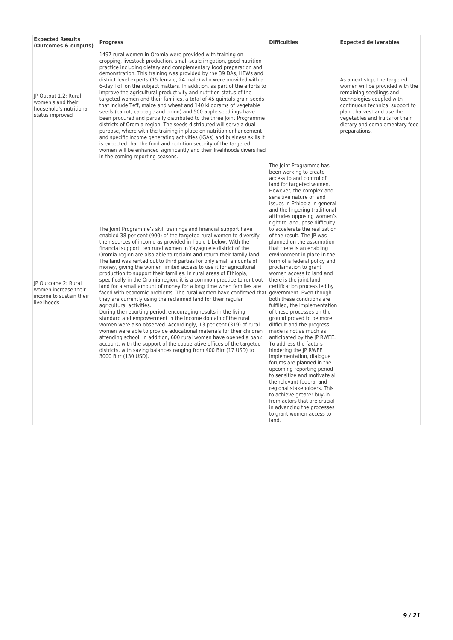| <b>Expected Results</b><br>(Outcomes & outputs)                                         | <b>Progress</b>                                                                                                                                                                                                                                                                                                                                                                                                                                                                                                                                                                                                                                                                                                                                                                                                                                                                                                                                                                                                                                                                                                                                                                                                                                                                                                                                                                                                                      |                                                                                                                                                                                                                                                                                                                                                                                                                                                                                                                                                                                                                                                                                                                                                                                                                                                                                                                                                                                                                                                                                                                                                                                               | <b>Expected deliverables</b>                                                                                                                                                                                                                                                   |  |
|-----------------------------------------------------------------------------------------|--------------------------------------------------------------------------------------------------------------------------------------------------------------------------------------------------------------------------------------------------------------------------------------------------------------------------------------------------------------------------------------------------------------------------------------------------------------------------------------------------------------------------------------------------------------------------------------------------------------------------------------------------------------------------------------------------------------------------------------------------------------------------------------------------------------------------------------------------------------------------------------------------------------------------------------------------------------------------------------------------------------------------------------------------------------------------------------------------------------------------------------------------------------------------------------------------------------------------------------------------------------------------------------------------------------------------------------------------------------------------------------------------------------------------------------|-----------------------------------------------------------------------------------------------------------------------------------------------------------------------------------------------------------------------------------------------------------------------------------------------------------------------------------------------------------------------------------------------------------------------------------------------------------------------------------------------------------------------------------------------------------------------------------------------------------------------------------------------------------------------------------------------------------------------------------------------------------------------------------------------------------------------------------------------------------------------------------------------------------------------------------------------------------------------------------------------------------------------------------------------------------------------------------------------------------------------------------------------------------------------------------------------|--------------------------------------------------------------------------------------------------------------------------------------------------------------------------------------------------------------------------------------------------------------------------------|--|
| JP Output 1.2: Rural<br>women's and their<br>household's nutritional<br>status improved | 1497 rural women in Oromia were provided with training on<br>cropping, livestock production, small-scale irrigation, good nutrition<br>practice including dietary and complementary food preparation and<br>demonstration. This training was provided by the 39 DAs, HEWs and<br>district level experts (15 female, 24 male) who were provided with a<br>6-day ToT on the subject matters. In addition, as part of the efforts to<br>improve the agricultural productivity and nutrition status of the<br>targeted women and their families, a total of 45 guintals grain seeds<br>that include Teff, maize and wheat and 140 kilograms of vegetable<br>seeds (carrot, cabbage and onion) and 500 apple seedlings have<br>been procured and partially distributed to the three Joint Programme<br>districts of Oromia region. The seeds distributed will serve a dual<br>purpose, where with the training in place on nutrition enhancement<br>and specific income generating activities (IGAs) and business skills it<br>is expected that the food and nutrition security of the targeted<br>women will be enhanced significantly and their livelihoods diversified<br>in the coming reporting seasons.                                                                                                                                                                                                                             |                                                                                                                                                                                                                                                                                                                                                                                                                                                                                                                                                                                                                                                                                                                                                                                                                                                                                                                                                                                                                                                                                                                                                                                               | As a next step, the targeted<br>women will be provided with the<br>remaining seedlings and<br>technologies coupled with<br>continuous technical support to<br>plant, harvest and use the<br>vegetables and fruits for their<br>dietary and complementary food<br>preparations. |  |
| IP Outcome 2: Rural<br>women increase their<br>income to sustain their<br>livelihoods   | The Joint Programme's skill trainings and financial support have<br>enabled 38 per cent (900) of the targeted rural women to diversify<br>their sources of income as provided in Table 1 below. With the<br>financial support, ten rural women in Yayagulele district of the<br>Oromia region are also able to reclaim and return their family land.<br>The land was rented out to third parties for only small amounts of<br>money, giving the women limited access to use it for agricultural<br>production to support their families. In rural areas of Ethiopia,<br>specifically in the Oromia region, it is a common practice to rent out<br>land for a small amount of money for a long time when families are<br>faced with economic problems. The rural women have confirmed that government. Even though<br>they are currently using the reclaimed land for their regular<br>agricultural activities.<br>During the reporting period, encouraging results in the living<br>standard and empowerment in the income domain of the rural<br>women were also observed. Accordingly, 13 per cent (319) of rural<br>women were able to provide educational materials for their children<br>attending school. In addition, 600 rural women have opened a bank<br>account, with the support of the cooperative offices of the targeted<br>districts, with saving balances ranging from 400 Birr (17 USD) to<br>3000 Birr (130 USD). | The Joint Programme has<br>been working to create<br>access to and control of<br>land for targeted women.<br>However, the complex and<br>sensitive nature of land<br>issues in Ethiopia in general<br>and the lingering traditional<br>attitudes opposing women's<br>right to land, pose difficulty<br>to accelerate the realization<br>of the result. The JP was<br>planned on the assumption<br>that there is an enabling<br>environment in place in the<br>form of a federal policy and<br>proclamation to grant<br>women access to land and<br>there is the joint land<br>certification process led by<br>both these conditions are<br>fulfilled, the implementation<br>of these processes on the<br>ground proved to be more<br>difficult and the progress<br>made is not as much as<br>anticipated by the JP RWEE.<br>To address the factors<br>hindering the JP RWEE<br>implementation, dialogue<br>forums are planned in the<br>upcoming reporting period<br>to sensitize and motivate all<br>the relevant federal and<br>regional stakeholders. This<br>to achieve greater buy-in<br>from actors that are crucial<br>in advancing the processes<br>to grant women access to<br>land. |                                                                                                                                                                                                                                                                                |  |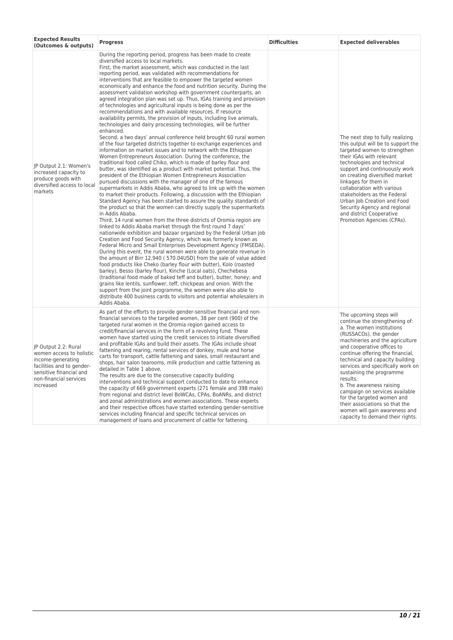| <b>Expected Results</b><br>(Outcomes & outputs)                                                                                                                      | <b>Progress</b>                                                                                                                                                                                                                                                                                                                                                                                                                                                                                                                                                                                                                                                                                                                                                                                                                                                                                                                                                                                                                                                                                                                                                                                                                                                                                                                                                                                                                                                                                                                                                                                                                                                                                                                                                                                                                                                                                                                                                                                                                                                                                                                                                                                                                                                                                                                                                                                                                                                                                                                                                                                                                        | <b>Difficulties</b> | <b>Expected deliverables</b>                                                                                                                                                                                                                                                                                                                                                                                                                                                                                                             |
|----------------------------------------------------------------------------------------------------------------------------------------------------------------------|----------------------------------------------------------------------------------------------------------------------------------------------------------------------------------------------------------------------------------------------------------------------------------------------------------------------------------------------------------------------------------------------------------------------------------------------------------------------------------------------------------------------------------------------------------------------------------------------------------------------------------------------------------------------------------------------------------------------------------------------------------------------------------------------------------------------------------------------------------------------------------------------------------------------------------------------------------------------------------------------------------------------------------------------------------------------------------------------------------------------------------------------------------------------------------------------------------------------------------------------------------------------------------------------------------------------------------------------------------------------------------------------------------------------------------------------------------------------------------------------------------------------------------------------------------------------------------------------------------------------------------------------------------------------------------------------------------------------------------------------------------------------------------------------------------------------------------------------------------------------------------------------------------------------------------------------------------------------------------------------------------------------------------------------------------------------------------------------------------------------------------------------------------------------------------------------------------------------------------------------------------------------------------------------------------------------------------------------------------------------------------------------------------------------------------------------------------------------------------------------------------------------------------------------------------------------------------------------------------------------------------------|---------------------|------------------------------------------------------------------------------------------------------------------------------------------------------------------------------------------------------------------------------------------------------------------------------------------------------------------------------------------------------------------------------------------------------------------------------------------------------------------------------------------------------------------------------------------|
| JP Output 2.1: Women's<br>increased capacity to<br>produce goods with<br>diversified access to local<br>markets                                                      | During the reporting period, progress has been made to create<br>diversified access to local markets.<br>First, the market assessment, which was conducted in the last<br>reporting period, was validated with recommendations for<br>interventions that are feasible to empower the targeted women<br>economically and enhance the food and nutrition security. During the<br>assessment validation workshop with government counterparts, an<br>agreed integration plan was set up. Thus, IGAs training and provision<br>of technologies and agricultural inputs is being done as per the<br>recommendations and with available resources. If resource<br>availability permits, the provision of inputs, including live animals,<br>technologies and dairy processing technologies, will be further<br>enhanced.<br>Second, a two days' annual conference held brought 60 rural women<br>of the four targeted districts together to exchange experiences and<br>information on market issues and to network with the Ethiopian<br>Women Entrepreneurs Association. During the conference, the<br>traditional food called Chiko, which is made of barley flour and<br>butter, was identified as a product with market potential. Thus, the<br>president of the Ethiopian Women Entrepreneurs Association<br>pursued discussions with the manager of one of the famous<br>supermarkets in Addis Ababa, who agreed to link up with the women<br>to market their products. Following, a discussion with the Ethiopian<br>Standard Agency has been started to assure the quality standards of<br>the product so that the women can directly supply the supermarkets<br>in Addis Ababa.<br>Third, 14 rural women from the three districts of Oromia region are<br>linked to Addis Ababa market through the first round 7 days'<br>nationwide exhibition and bazaar organized by the Federal Urban Job<br>Creation and Food Security Agency, which was formerly known as<br>Federal Micro and Small Enterprises Development Agency (FMSEDA).<br>During this event, the rural women were able to generate revenue in<br>the amount of Birr 12,940 (570.04USD) from the sale of value added<br>food products like Cheko (barley flour with butter), Kolo (roasted<br>barley), Besso (barley flour), Kinche (Local oats), Chechebesa<br>(traditional food made of baked teff and butter), butter, honey; and<br>grains like lentils, sunflower, teff, chickpeas and onion. With the<br>support from the joint programme, the women were also able to<br>distribute 400 business cards to visitors and potential wholesalers in<br>Addis Ababa. |                     | The next step to fully realizing<br>this output will be to support the<br>targeted women to strengthen<br>their IGAs with relevant<br>technologies and technical<br>support and continuously work<br>on creating diversified market<br>linkages for them in<br>collaboration with various<br>stakeholders as the Federal<br>Urban Job Creation and Food<br>Security Agency and regional<br>and district Cooperative<br>Promotion Agencies (CPAs).                                                                                        |
| JP Output 2.2: Rural<br>women access to holistic<br>income-generating<br>facilities and to gender-<br>sensitive financial and<br>non-financial services<br>increased | As part of the efforts to provide gender-sensitive financial and non-<br>financial services to the targeted women, 38 per cent (900) of the<br>targeted rural women in the Oromia region gained access to<br>credit/financial services in the form of a revolving fund. These<br>women have started using the credit services to initiate diversified<br>and profitable IGAs and build their assets. The IGAs include shoat<br>fattening and rearing, rental services of donkey, mule and horse<br>carts for transport, cattle fattening and sales, small restaurant and<br>shops, hair salon tearooms, milk production and cattle fattening as<br>detailed in Table 1 above.<br>The results are due to the consecutive capacity building<br>interventions and technical support conducted to date to enhance<br>the capacity of 669 government experts (271 female and 398 male)<br>from regional and district level BoWCAs, CPAs, BoANRs, and district<br>and zonal administrations and women associations. These experts<br>and their respective offices have started extending gender-sensitive<br>services including financial and specific technical services on<br>management of loans and procurement of cattle for fattening.                                                                                                                                                                                                                                                                                                                                                                                                                                                                                                                                                                                                                                                                                                                                                                                                                                                                                                                                                                                                                                                                                                                                                                                                                                                                                                                                                                                                 |                     | The upcoming steps will<br>continue the strengthening of:<br>a. The women institutions<br>(RUSSACOs), the gender<br>machineries and the agriculture<br>and cooperative offices to<br>continue offering the financial,<br>technical and capacity building<br>services and specifically work on<br>sustaining the programme<br>results.<br>b. The awareness raising<br>campaign on services available<br>for the targeted women and<br>their associations so that the<br>women will gain awareness and<br>capacity to demand their rights. |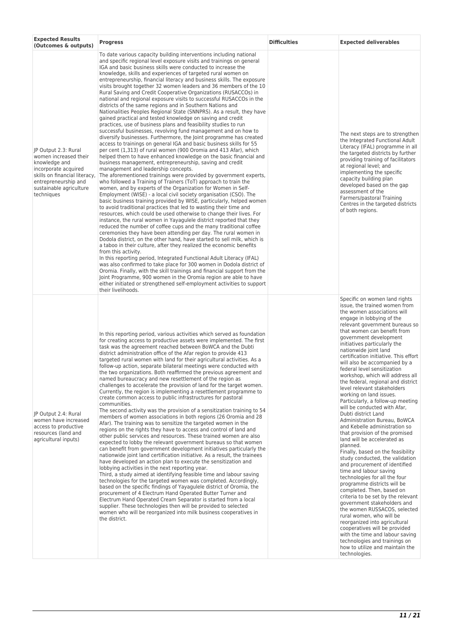| <b>Expected Results</b><br><b>Progress</b><br>(Outcomes & outputs)                                                                                                                       |                                                                                                                                                                                                                                                                                                                                                                                                                                                                                                                                                                                                                                                                                                                                                                                                                                                                                                                                                                                                                                                                                                                                                                                                                                                                                                                                                                                                                                                                                                                                                                                                                                                                                                                                                                                                                                                                                                                                                                                                                                                                                                                                                                                                                                                                                                                                                                                                                                                                                                                                                                                                 | <b>Difficulties</b> | <b>Expected deliverables</b>                                                                                                                                                                                                                                                                                                                                                                                                                                                                                                                                                                                                                                                                                                                                                                                                                                                                                                                                                                                                                                                                                                                                                                                                                                                                                                     |
|------------------------------------------------------------------------------------------------------------------------------------------------------------------------------------------|-------------------------------------------------------------------------------------------------------------------------------------------------------------------------------------------------------------------------------------------------------------------------------------------------------------------------------------------------------------------------------------------------------------------------------------------------------------------------------------------------------------------------------------------------------------------------------------------------------------------------------------------------------------------------------------------------------------------------------------------------------------------------------------------------------------------------------------------------------------------------------------------------------------------------------------------------------------------------------------------------------------------------------------------------------------------------------------------------------------------------------------------------------------------------------------------------------------------------------------------------------------------------------------------------------------------------------------------------------------------------------------------------------------------------------------------------------------------------------------------------------------------------------------------------------------------------------------------------------------------------------------------------------------------------------------------------------------------------------------------------------------------------------------------------------------------------------------------------------------------------------------------------------------------------------------------------------------------------------------------------------------------------------------------------------------------------------------------------------------------------------------------------------------------------------------------------------------------------------------------------------------------------------------------------------------------------------------------------------------------------------------------------------------------------------------------------------------------------------------------------------------------------------------------------------------------------------------------------|---------------------|----------------------------------------------------------------------------------------------------------------------------------------------------------------------------------------------------------------------------------------------------------------------------------------------------------------------------------------------------------------------------------------------------------------------------------------------------------------------------------------------------------------------------------------------------------------------------------------------------------------------------------------------------------------------------------------------------------------------------------------------------------------------------------------------------------------------------------------------------------------------------------------------------------------------------------------------------------------------------------------------------------------------------------------------------------------------------------------------------------------------------------------------------------------------------------------------------------------------------------------------------------------------------------------------------------------------------------|
| JP Output 2.3: Rural<br>women increased their<br>knowledge and<br>incorporate acquired<br>skills on financial literacy,<br>entrepreneurship and<br>sustainable agriculture<br>techniques | To date various capacity building interventions including national<br>and specific regional level exposure visits and trainings on general<br>IGA and basic business skills were conducted to increase the<br>knowledge, skills and experiences of targeted rural women on<br>entrepreneurship, financial literacy and business skills. The exposure<br>visits brought together 32 women leaders and 36 members of the 10<br>Rural Saving and Credit Cooperative Organizations (RUSACCOs) in<br>national and regional exposure visits to successful RUSACCOs in the<br>districts of the same regions and in Southern Nations and<br>Nationalities Peoples Regional State (SNNPRS). As a result, they have<br>gained practical and tested knowledge on saving and credit<br>practices, use of business plans and feasibility studies to run<br>successful businesses, revolving fund management and on how to<br>diversify businesses. Furthermore, the Joint programme has created<br>access to trainings on general IGA and basic business skills for 55<br>per cent (1,313) of rural women (900 Oromia and 413 Afar), which<br>helped them to have enhanced knowledge on the basic financial and<br>business management, entrepreneurship, saving and credit<br>management and leadership concepts.<br>The aforementioned trainings were provided by government experts,<br>who followed a Training of Trainers (ToT) approach to train the<br>women, and by experts of the Organization for Women in Self-<br>Employment (WISE) - a local civil society organisation (CSO). The<br>basic business training provided by WISE, particularly, helped women<br>to avoid traditional practices that led to wasting their time and<br>resources, which could be used otherwise to change their lives. For<br>instance, the rural women in Yayagulele district reported that they<br>reduced the number of coffee cups and the many traditional coffee<br>ceremonies they have been attending per day. The rural women in<br>Dodola district, on the other hand, have started to sell milk, which is<br>a taboo in their culture, after they realized the economic benefits<br>from this activity.<br>In this reporting period, Integrated Functional Adult Literacy (IFAL)<br>was also confirmed to take place for 300 women in Dodola district of<br>Oromia. Finally, with the skill trainings and financial support from the<br>Joint Programme, 900 women in the Oromia region are able to have<br>either initiated or strengthened self-employment activities to support<br>their livelihoods. |                     | The next steps are to strengthen<br>the Integrated Functional Adult<br>Literacy (IFAL) programme in all<br>the targeted districts by further<br>providing training of facilitators<br>at regional level; and<br>implementing the specific<br>capacity building plan<br>developed based on the gap<br>assessment of the<br>Farmers/pastoral Training<br>Centres in the targeted districts<br>of both regions.                                                                                                                                                                                                                                                                                                                                                                                                                                                                                                                                                                                                                                                                                                                                                                                                                                                                                                                     |
| IP Output 2.4: Rural<br>women have increased<br>access to productive<br>resources (land and<br>agricultural inputs)                                                                      | In this reporting period, various activities which served as foundation<br>for creating access to productive assets were implemented. The first<br>task was the agreement reached between BoWCA and the Dubti<br>district administration office of the Afar region to provide 413<br>targeted rural women with land for their agricultural activities. As a<br>follow-up action, separate bilateral meetings were conducted with<br>the two organizations. Both reaffirmed the previous agreement and<br>named bureaucracy and new resettlement of the region as<br>challenges to accelerate the provision of land for the target women.<br>Currently, the region is implementing a resettlement programme to<br>create common access to public infrastructures for pastoral<br>communities.<br>The second activity was the provision of a sensitization training to 54<br>members of women associations in both regions (26 Oromia and 28<br>Afar). The training was to sensitize the targeted women in the<br>regions on the rights they have to access and control of land and<br>other public services and resources. These trained women are also<br>expected to lobby the relevant government bureaus so that women<br>can benefit from government development initiatives particularly the<br>nationwide joint land certification initiative. As a result, the trainees<br>have developed an action plan to execute the sensitization and<br>lobbying activities in the next reporting year.<br>Third, a study aimed at identifying feasible time and labour saving<br>technologies for the targeted women was completed. Accordingly,<br>based on the specific findings of Yayagulele district of Oromia, the<br>procurement of 4 Electrum Hand Operated Butter Turner and<br>Electrum Hand Operated Cream Separator is started from a local<br>supplier. These technologies then will be provided to selected<br>women who will be reorganized into milk business cooperatives in<br>the district.                                                                                                                                                                                                                                                                                                                                                                                                                                                                                                                                                                                     |                     | Specific on women land rights<br>issue, the trained women from<br>the women associations will<br>engage in lobbying of the<br>relevant government bureaus so<br>that women can benefit from<br>government development<br>initiatives particularly the<br>nationwide joint land<br>certification initiative. This effort<br>will also be accompanied by a<br>federal level sensitization<br>workshop, which will address all<br>the federal, regional and district<br>level relevant stakeholders<br>working on land issues.<br>Particularly, a follow-up meeting<br>will be conducted with Afar,<br>Dubti district Land<br>Administration Bureau, BoWCA<br>and Kebelle administration so<br>that provision of the promised<br>land will be accelerated as<br>planned.<br>Finally, based on the feasibility<br>study conducted, the validation<br>and procurement of identified<br>time and labour saving<br>technologies for all the four<br>programme districts will be<br>completed. Then, based on<br>criteria to be set by the relevant<br>government stakeholders and<br>the women RUSSACOS, selected<br>rural women, who will be<br>reorganized into agricultural<br>cooperatives will be provided<br>with the time and labour saving<br>technologies and trainings on<br>how to utilize and maintain the<br>technologies. |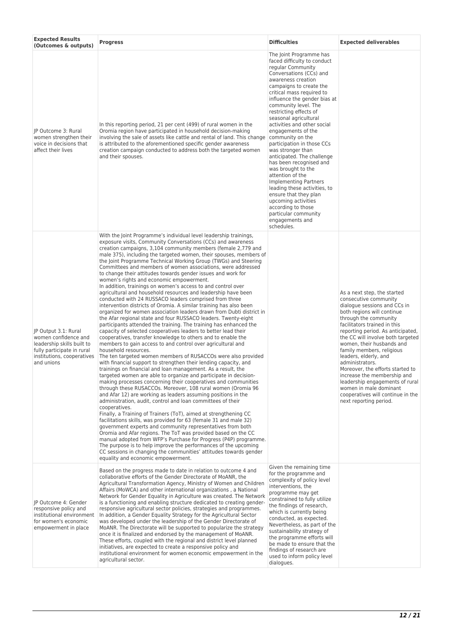| <b>Expected Results</b><br>(Outcomes & outputs)                                                                                                      | <b>Progress</b>                                                                                                                                                                                                                                                                                                                                                                                                                                                                                                                                                                                                                                                                                                                                                                                                                                                                                                                                                                                                                                                                                                                                                                                                                                                                                                                                                                                                                                                                                                                                                                                                                                                                                                                                                                                                                                                                                                                                                                                                                                                                                                                                                                                                                                                                                                        | <b>Difficulties</b>                                                                                                                                                                                                                                                                                                                                                                                                                                                                                                                                                                                                                                                                                                           | <b>Expected deliverables</b>                                                                                                                                                                                                                                                                                                                                                                                                                                                                                                                               |
|------------------------------------------------------------------------------------------------------------------------------------------------------|------------------------------------------------------------------------------------------------------------------------------------------------------------------------------------------------------------------------------------------------------------------------------------------------------------------------------------------------------------------------------------------------------------------------------------------------------------------------------------------------------------------------------------------------------------------------------------------------------------------------------------------------------------------------------------------------------------------------------------------------------------------------------------------------------------------------------------------------------------------------------------------------------------------------------------------------------------------------------------------------------------------------------------------------------------------------------------------------------------------------------------------------------------------------------------------------------------------------------------------------------------------------------------------------------------------------------------------------------------------------------------------------------------------------------------------------------------------------------------------------------------------------------------------------------------------------------------------------------------------------------------------------------------------------------------------------------------------------------------------------------------------------------------------------------------------------------------------------------------------------------------------------------------------------------------------------------------------------------------------------------------------------------------------------------------------------------------------------------------------------------------------------------------------------------------------------------------------------------------------------------------------------------------------------------------------------|-------------------------------------------------------------------------------------------------------------------------------------------------------------------------------------------------------------------------------------------------------------------------------------------------------------------------------------------------------------------------------------------------------------------------------------------------------------------------------------------------------------------------------------------------------------------------------------------------------------------------------------------------------------------------------------------------------------------------------|------------------------------------------------------------------------------------------------------------------------------------------------------------------------------------------------------------------------------------------------------------------------------------------------------------------------------------------------------------------------------------------------------------------------------------------------------------------------------------------------------------------------------------------------------------|
| JP Outcome 3: Rural<br>women strengthen their<br>voice in decisions that<br>affect their lives                                                       | In this reporting period, 21 per cent (499) of rural women in the<br>Oromia region have participated in household decision-making<br>involving the sale of assets like cattle and rental of land. This change<br>is attributed to the aforementioned specific gender awareness<br>creation campaign conducted to address both the targeted women<br>and their spouses.                                                                                                                                                                                                                                                                                                                                                                                                                                                                                                                                                                                                                                                                                                                                                                                                                                                                                                                                                                                                                                                                                                                                                                                                                                                                                                                                                                                                                                                                                                                                                                                                                                                                                                                                                                                                                                                                                                                                                 | The Joint Programme has<br>faced difficulty to conduct<br>regular Community<br>Conversations (CCs) and<br>awareness creation<br>campaigns to create the<br>critical mass required to<br>influence the gender bias at<br>community level. The<br>restricting effects of<br>seasonal agricultural<br>activities and other social<br>engagements of the<br>community on the<br>participation in those CCs<br>was stronger than<br>anticipated. The challenge<br>has been recognised and<br>was brought to the<br>attention of the<br><b>Implementing Partners</b><br>leading these activities, to<br>ensure that they plan<br>upcoming activities<br>according to those<br>particular community<br>engagements and<br>schedules. |                                                                                                                                                                                                                                                                                                                                                                                                                                                                                                                                                            |
| IP Output 3.1: Rural<br>women confidence and<br>leadership skills built to<br>fully participate in rural<br>institutions, cooperatives<br>and unions | With the Joint Programme's individual level leadership trainings,<br>exposure visits, Community Conversations (CCs) and awareness<br>creation campaigns, 3,104 community members (female 2,779 and<br>male 375), including the targeted women, their spouses, members of<br>the Joint Programme Technical Working Group (TWGs) and Steering<br>Committees and members of women associations, were addressed<br>to change their attitudes towards gender issues and work for<br>women's rights and economic empowerment.<br>In addition, trainings on women's access to and control over<br>agricultural and household resources and leadership have been<br>conducted with 24 RUSSACO leaders comprised from three<br>intervention districts of Oromia. A similar training has also been<br>organized for women association leaders drawn from Dubti district in<br>the Afar regional state and four RUSSACO leaders. Twenty-eight<br>participants attended the training. The training has enhanced the<br>capacity of selected cooperatives leaders to better lead their<br>cooperatives, transfer knowledge to others and to enable the<br>members to gain access to and control over agricultural and<br>household resources.<br>The ten targeted women members of RUSACCOs were also provided<br>with financial support to strengthen their lending capacity, and<br>trainings on financial and loan management. As a result, the<br>targeted women are able to organize and participate in decision-<br>making processes concerning their cooperatives and communities<br>through these RUSACCOs. Moreover, 108 rural women (Oromia 96<br>and Afar 12) are working as leaders assuming positions in the<br>administration, audit, control and loan committees of their<br>cooperatives.<br>Finally, a Training of Trainers (ToT), aimed at strengthening CC<br>facilitations skills, was provided for 63 (female 31 and male 32)<br>government experts and community representatives from both<br>Oromia and Afar regions. The ToT was provided based on the CC<br>manual adopted from WFP's Purchase for Progress (P4P) programme.<br>The purpose is to help improve the performances of the upcoming<br>CC sessions in changing the communities' attitudes towards gender<br>equality and economic empowerment. |                                                                                                                                                                                                                                                                                                                                                                                                                                                                                                                                                                                                                                                                                                                               | As a next step, the started<br>consecutive community<br>dialogue sessions and CCs in<br>both regions will continue<br>through the community<br>facilitators trained in this<br>reporting period. As anticipated,<br>the CC will involve both targeted<br>women, their husbands and<br>family members, religious<br>leaders, elderly, and<br>administrators.<br>Moreover, the efforts started to<br>increase the membership and<br>leadership engagements of rural<br>women in male dominant<br>cooperatives will continue in the<br>next reporting period. |
| JP Outcome 4: Gender<br>responsive policy and<br>institutional environment<br>for women's economic<br>empowerment in place                           | Based on the progress made to date in relation to outcome 4 and<br>collaborative efforts of the Gender Directorate of MoANR, the<br>Agricultural Transformation Agency, Ministry of Women and Children<br>Affairs (MoWCA) and other international organizations, a National<br>Network for Gender Equality in Agriculture was created. The Network<br>is a functioning and enabling structure dedicated to creating gender-<br>responsive agricultural sector policies, strategies and programmes.<br>In addition, a Gender Equality Strategy for the Agricultural Sector<br>was developed under the leadership of the Gender Directorate of<br>MoANR. The Directorate will be supported to popularize the strategy<br>once it is finalized and endorsed by the management of MoANR.<br>These efforts, coupled with the regional and district level planned<br>initiatives, are expected to create a responsive policy and<br>institutional environment for women economic empowerment in the<br>agricultural sector.                                                                                                                                                                                                                                                                                                                                                                                                                                                                                                                                                                                                                                                                                                                                                                                                                                                                                                                                                                                                                                                                                                                                                                                                                                                                                                  | Given the remaining time<br>for the programme and<br>complexity of policy level<br>interventions, the<br>programme may get<br>constrained to fully utilize<br>the findings of research,<br>which is currently being<br>conducted, as expected.<br>Nevertheless, as part of the<br>sustainability strategy of<br>the programme efforts will<br>be made to ensure that the<br>findings of research are<br>used to inform policy level<br>dialogues.                                                                                                                                                                                                                                                                             |                                                                                                                                                                                                                                                                                                                                                                                                                                                                                                                                                            |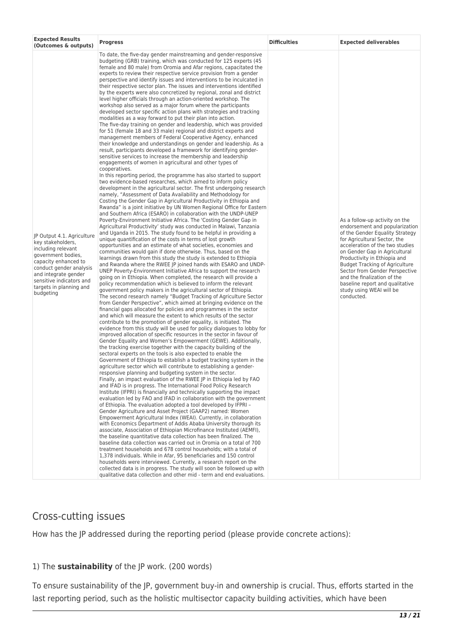| <b>Expected Results</b><br>(Outcomes & outputs)                                                                                                                                                                                            | <b>Progress</b>                                                                                                                                                                                                                                                                                                                                                                                                                                                                                                                                                                                                                                                                                                                                                                                                                                                                                                                                                                                                                                                                                                                                                                                                                                                                                                                                                                                                                                                                                                                                                                                                                                                                                                                                                                                                                                                                                                                                                                                                                                                                                                                                                                                                                                                                                                                                                                                                                                                                                                                                                                                                                                                                                                                                                                                                                                                                                                                                                                                                                                                                                                                                                                                                                                                                                                                                                                                                                                                                                                                                                                                                                                                                                                                                                                                                                                                                                                                                                                                                                                                                                                                                                                                                                                                                                                                                                                                                                                                                                                                                                                                                                                                                                                | <b>Difficulties</b> | <b>Expected deliverables</b>                                                                                                                                                                                                                                                                                                                                                                                                   |
|--------------------------------------------------------------------------------------------------------------------------------------------------------------------------------------------------------------------------------------------|----------------------------------------------------------------------------------------------------------------------------------------------------------------------------------------------------------------------------------------------------------------------------------------------------------------------------------------------------------------------------------------------------------------------------------------------------------------------------------------------------------------------------------------------------------------------------------------------------------------------------------------------------------------------------------------------------------------------------------------------------------------------------------------------------------------------------------------------------------------------------------------------------------------------------------------------------------------------------------------------------------------------------------------------------------------------------------------------------------------------------------------------------------------------------------------------------------------------------------------------------------------------------------------------------------------------------------------------------------------------------------------------------------------------------------------------------------------------------------------------------------------------------------------------------------------------------------------------------------------------------------------------------------------------------------------------------------------------------------------------------------------------------------------------------------------------------------------------------------------------------------------------------------------------------------------------------------------------------------------------------------------------------------------------------------------------------------------------------------------------------------------------------------------------------------------------------------------------------------------------------------------------------------------------------------------------------------------------------------------------------------------------------------------------------------------------------------------------------------------------------------------------------------------------------------------------------------------------------------------------------------------------------------------------------------------------------------------------------------------------------------------------------------------------------------------------------------------------------------------------------------------------------------------------------------------------------------------------------------------------------------------------------------------------------------------------------------------------------------------------------------------------------------------------------------------------------------------------------------------------------------------------------------------------------------------------------------------------------------------------------------------------------------------------------------------------------------------------------------------------------------------------------------------------------------------------------------------------------------------------------------------------------------------------------------------------------------------------------------------------------------------------------------------------------------------------------------------------------------------------------------------------------------------------------------------------------------------------------------------------------------------------------------------------------------------------------------------------------------------------------------------------------------------------------------------------------------------------------------------------------------------------------------------------------------------------------------------------------------------------------------------------------------------------------------------------------------------------------------------------------------------------------------------------------------------------------------------------------------------------------------------------------------------------------------------------------------------|---------------------|--------------------------------------------------------------------------------------------------------------------------------------------------------------------------------------------------------------------------------------------------------------------------------------------------------------------------------------------------------------------------------------------------------------------------------|
| JP Output 4.1. Agriculture<br>key stakeholders,<br>including relevant<br>government bodies,<br>capacity enhanced to<br>conduct gender analysis<br>and integrate gender<br>sensitive indicators and<br>targets in planning and<br>budgeting | To date, the five-day gender mainstreaming and gender-responsive<br>budgeting (GRB) training, which was conducted for 125 experts (45<br>female and 80 male) from Oromia and Afar regions, capacitated the<br>experts to review their respective service provision from a gender<br>perspective and identify issues and interventions to be inculcated in<br>their respective sector plan. The issues and interventions identified<br>by the experts were also concretized by regional, zonal and district<br>level higher officials through an action-oriented workshop. The<br>workshop also served as a major forum where the participants<br>developed sector specific action plans with strategies and tracking<br>modalities as a way forward to put their plan into action.<br>The five-day training on gender and leadership, which was provided<br>for 51 (female 18 and 33 male) regional and district experts and<br>management members of Federal Cooperative Agency, enhanced<br>their knowledge and understandings on gender and leadership. As a<br>result, participants developed a framework for identifying gender-<br>sensitive services to increase the membership and leadership<br>engagements of women in agricultural and other types of<br>cooperatives.<br>In this reporting period, the programme has also started to support<br>two evidence-based researches, which aimed to inform policy<br>development in the agricultural sector. The first undergoing research<br>namely, "Assessment of Data Availability and Methodology for<br>Costing the Gender Gap in Agricultural Productivity in Ethiopia and<br>Rwanda" is a joint initiative by UN Women Regional Office for Eastern<br>and Southern Africa (ESARO) in collaboration with the UNDP-UNEP<br>Poverty-Environment Initiative Africa. The 'Costing Gender Gap in<br>Agricultural Productivity' study was conducted in Malawi, Tanzania<br>and Uganda in 2015. The study found to be helpful in providing a<br>unique quantification of the costs in terms of lost growth<br>opportunities and an estimate of what societies, economies and<br>communities would gain if done otherwise. Thus, based on the<br>learnings drawn from this study the study is extended to Ethiopia<br>and Rwanda where the RWEE JP joined hands with ESARO and UNDP-<br>UNEP Poverty-Environment Initiative Africa to support the research<br>going on in Ethiopia. When completed, the research will provide a<br>policy recommendation which is believed to inform the relevant<br>government policy makers in the agricultural sector of Ethiopia.<br>The second research namely "Budget Tracking of Agriculture Sector<br>from Gender Perspective", which aimed at bringing evidence on the<br>financial gaps allocated for policies and programmes in the sector<br>and which will measure the extent to which results of the sector<br>contribute to the promotion of gender equality, is initiated. The<br>evidence from this study will be used for policy dialogues to lobby for<br>improved allocation of specific resources in the sector in favour of<br>Gender Equality and Women's Empowerment (GEWE). Additionally,<br>the tracking exercise together with the capacity building of the<br>sectoral experts on the tools is also expected to enable the<br>Government of Ethiopia to establish a budget tracking system in the<br>agriculture sector which will contribute to establishing a gender-<br>responsive planning and budgeting system in the sector.<br>Finally, an impact evaluation of the RWEE JP in Ethiopia led by FAO<br>and IFAD is in progress. The International Food Policy Research<br>Institute (IFPRI) is financially and technically supporting the impact<br>evaluation led by FAO and IFAD in collaboration with the government<br>of Ethiopia. The evaluation adopted a tool developed by IFPRI -<br>Gender Agriculture and Asset Project (GAAP2) named: Women<br>Empowerment Agricultural Index (WEAI). Currently, in collaboration<br>with Economics Department of Addis Ababa University thorough its<br>associate, Association of Ethiopian Microfinance Instituted (AEMFI),<br>the baseline quantitative data collection has been finalized. The<br>baseline data collection was carried out in Oromia on a total of 700<br>treatment households and 678 control households; with a total of<br>1,378 individuals. While in Afar, 95 beneficiaries and 150 control<br>households were interviewed. Currently, a research report on the<br>collected data is in progress. The study will soon be followed up with<br>qualitative data collection and other mid - term and end evaluations. |                     | As a follow-up activity on the<br>endorsement and popularization<br>of the Gender Equality Strategy<br>for Agricultural Sector, the<br>acceleration of the two studies<br>on Gender Gap in Agricultural<br>Productivity in Ethiopia and<br><b>Budget Tracking of Agriculture</b><br>Sector from Gender Perspective<br>and the finalization of the<br>baseline report and qualitative<br>study using WEAI will be<br>conducted. |

## Cross-cutting issues

How has the JP addressed during the reporting period (please provide concrete actions):

### 1) The **sustainability** of the JP work. (200 words)

To ensure sustainability of the JP, government buy-in and ownership is crucial. Thus, efforts started in the last reporting period, such as the holistic multisector capacity building activities, which have been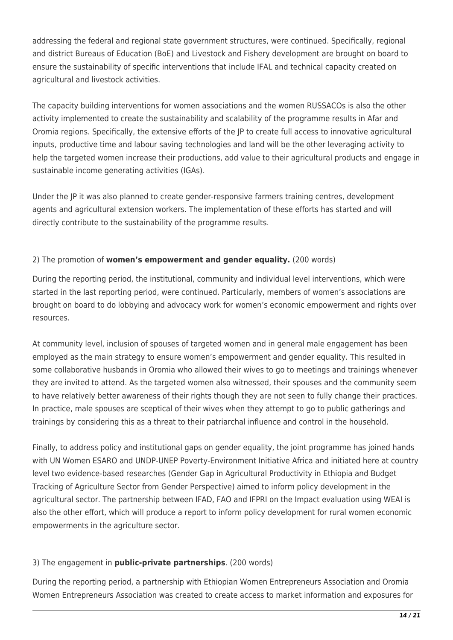addressing the federal and regional state government structures, were continued. Specifically, regional and district Bureaus of Education (BoE) and Livestock and Fishery development are brought on board to ensure the sustainability of specific interventions that include IFAL and technical capacity created on agricultural and livestock activities.

The capacity building interventions for women associations and the women RUSSACOs is also the other activity implemented to create the sustainability and scalability of the programme results in Afar and Oromia regions. Specifically, the extensive efforts of the JP to create full access to innovative agricultural inputs, productive time and labour saving technologies and land will be the other leveraging activity to help the targeted women increase their productions, add value to their agricultural products and engage in sustainable income generating activities (IGAs).

Under the JP it was also planned to create gender-responsive farmers training centres, development agents and agricultural extension workers. The implementation of these efforts has started and will directly contribute to the sustainability of the programme results.

### 2) The promotion of **women's empowerment and gender equality.** (200 words)

During the reporting period, the institutional, community and individual level interventions, which were started in the last reporting period, were continued. Particularly, members of women's associations are brought on board to do lobbying and advocacy work for women's economic empowerment and rights over resources.

At community level, inclusion of spouses of targeted women and in general male engagement has been employed as the main strategy to ensure women's empowerment and gender equality. This resulted in some collaborative husbands in Oromia who allowed their wives to go to meetings and trainings whenever they are invited to attend. As the targeted women also witnessed, their spouses and the community seem to have relatively better awareness of their rights though they are not seen to fully change their practices. In practice, male spouses are sceptical of their wives when they attempt to go to public gatherings and trainings by considering this as a threat to their patriarchal influence and control in the household.

Finally, to address policy and institutional gaps on gender equality, the joint programme has joined hands with UN Women ESARO and UNDP-UNEP Poverty-Environment Initiative Africa and initiated here at country level two evidence-based researches (Gender Gap in Agricultural Productivity in Ethiopia and Budget Tracking of Agriculture Sector from Gender Perspective) aimed to inform policy development in the agricultural sector. The partnership between IFAD, FAO and IFPRI on the Impact evaluation using WEAI is also the other effort, which will produce a report to inform policy development for rural women economic empowerments in the agriculture sector.

### 3) The engagement in **public-private partnerships**. (200 words)

During the reporting period, a partnership with Ethiopian Women Entrepreneurs Association and Oromia Women Entrepreneurs Association was created to create access to market information and exposures for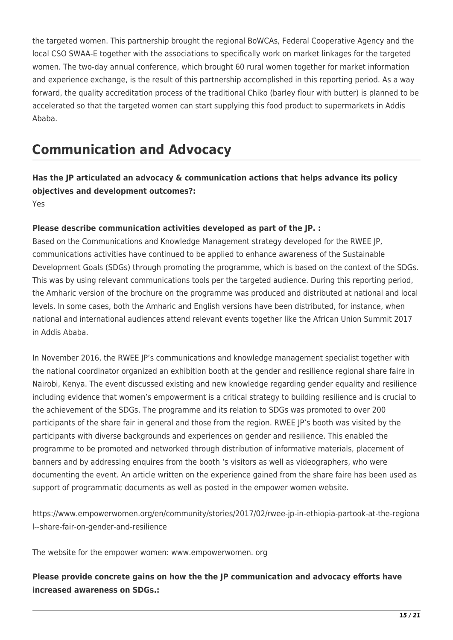the targeted women. This partnership brought the regional BoWCAs, Federal Cooperative Agency and the local CSO SWAA-E together with the associations to specifically work on market linkages for the targeted women. The two-day annual conference, which brought 60 rural women together for market information and experience exchange, is the result of this partnership accomplished in this reporting period. As a way forward, the quality accreditation process of the traditional Chiko (barley flour with butter) is planned to be accelerated so that the targeted women can start supplying this food product to supermarkets in Addis Ababa.

# **Communication and Advocacy**

**Has the JP articulated an advocacy & communication actions that helps advance its policy objectives and development outcomes?:** 

Yes

### **Please describe communication activities developed as part of the JP. :**

Based on the Communications and Knowledge Management strategy developed for the RWEE JP, communications activities have continued to be applied to enhance awareness of the Sustainable Development Goals (SDGs) through promoting the programme, which is based on the context of the SDGs. This was by using relevant communications tools per the targeted audience. During this reporting period, the Amharic version of the brochure on the programme was produced and distributed at national and local levels. In some cases, both the Amharic and English versions have been distributed, for instance, when national and international audiences attend relevant events together like the African Union Summit 2017 in Addis Ababa.

In November 2016, the RWEE JP's communications and knowledge management specialist together with the national coordinator organized an exhibition booth at the gender and resilience regional share faire in Nairobi, Kenya. The event discussed existing and new knowledge regarding gender equality and resilience including evidence that women's empowerment is a critical strategy to building resilience and is crucial to the achievement of the SDGs. The programme and its relation to SDGs was promoted to over 200 participants of the share fair in general and those from the region. RWEE JP's booth was visited by the participants with diverse backgrounds and experiences on gender and resilience. This enabled the programme to be promoted and networked through distribution of informative materials, placement of banners and by addressing enquires from the booth 's visitors as well as videographers, who were documenting the event. An article written on the experience gained from the share faire has been used as support of programmatic documents as well as posted in the empower women website.

https://www.empowerwomen.org/en/community/stories/2017/02/rwee-jp-in-ethiopia-partook-at-the-regiona l--share-fair-on-gender-and-resilience

The website for the empower women: www.empowerwomen. org

**Please provide concrete gains on how the the JP communication and advocacy efforts have increased awareness on SDGs.:**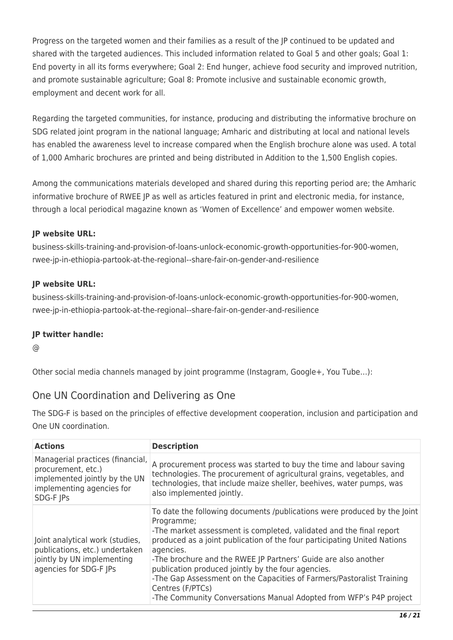Progress on the targeted women and their families as a result of the JP continued to be updated and shared with the targeted audiences. This included information related to Goal 5 and other goals; Goal 1: End poverty in all its forms everywhere; Goal 2: End hunger, achieve food security and improved nutrition, and promote sustainable agriculture; Goal 8: Promote inclusive and sustainable economic growth, employment and decent work for all.

Regarding the targeted communities, for instance, producing and distributing the informative brochure on SDG related joint program in the national language; Amharic and distributing at local and national levels has enabled the awareness level to increase compared when the English brochure alone was used. A total of 1,000 Amharic brochures are printed and being distributed in Addition to the 1,500 English copies.

Among the communications materials developed and shared during this reporting period are; the Amharic informative brochure of RWEE JP as well as articles featured in print and electronic media, for instance, through a local periodical magazine known as 'Women of Excellence' and empower women website.

## **JP website URL:**

business-skills-training-and-provision-of-loans-unlock-economic-growth-opportunities-for-900-women, rwee-jp-in-ethiopia-partook-at-the-regional--share-fair-on-gender-and-resilience

## **JP website URL:**

business-skills-training-and-provision-of-loans-unlock-economic-growth-opportunities-for-900-women, rwee-jp-in-ethiopia-partook-at-the-regional--share-fair-on-gender-and-resilience

## **JP twitter handle:**

@

Other social media channels managed by joint programme (Instagram, Google+, You Tube…):

## One UN Coordination and Delivering as One

The SDG-F is based on the principles of effective development cooperation, inclusion and participation and One UN coordination.

| <b>Actions</b>                                                                                                                    | <b>Description</b>                                                                                                                                                                                                                                                                                                                                                                                                                                                                                                                                |
|-----------------------------------------------------------------------------------------------------------------------------------|---------------------------------------------------------------------------------------------------------------------------------------------------------------------------------------------------------------------------------------------------------------------------------------------------------------------------------------------------------------------------------------------------------------------------------------------------------------------------------------------------------------------------------------------------|
| Managerial practices (financial,<br>procurement, etc.)<br>implemented jointly by the UN<br>implementing agencies for<br>SDG-F JPs | A procurement process was started to buy the time and labour saving<br>technologies. The procurement of agricultural grains, vegetables, and<br>technologies, that include maize sheller, beehives, water pumps, was<br>also implemented jointly.                                                                                                                                                                                                                                                                                                 |
| Joint analytical work (studies,<br>publications, etc.) undertaken<br>jointly by UN implementing<br>agencies for SDG-F JPs         | To date the following documents /publications were produced by the Joint<br>Programme;<br>-The market assessment is completed, validated and the final report<br>produced as a joint publication of the four participating United Nations<br>agencies.<br>-The brochure and the RWEE JP Partners' Guide are also another<br>publication produced jointly by the four agencies.<br>-The Gap Assessment on the Capacities of Farmers/Pastoralist Training<br>Centres (F/PTCs)<br>-The Community Conversations Manual Adopted from WFP's P4P project |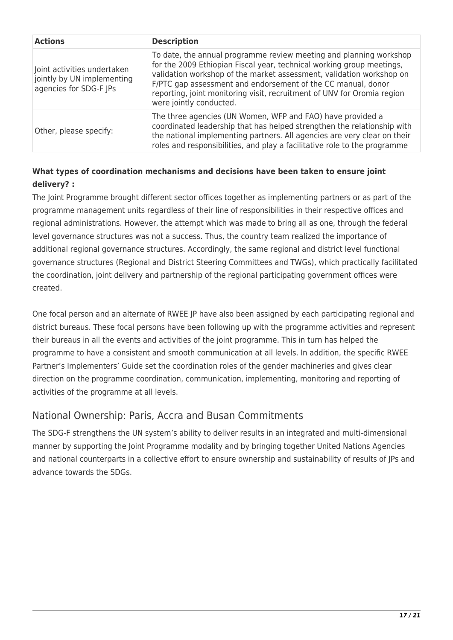| <b>Actions</b>                                                                      | <b>Description</b>                                                                                                                                                                                                                                                                                                                                                                        |
|-------------------------------------------------------------------------------------|-------------------------------------------------------------------------------------------------------------------------------------------------------------------------------------------------------------------------------------------------------------------------------------------------------------------------------------------------------------------------------------------|
| Joint activities undertaken<br>jointly by UN implementing<br>agencies for SDG-F JPs | To date, the annual programme review meeting and planning workshop<br>for the 2009 Ethiopian Fiscal year, technical working group meetings,<br>validation workshop of the market assessment, validation workshop on<br>F/PTC gap assessment and endorsement of the CC manual, donor<br>reporting, joint monitoring visit, recruitment of UNV for Oromia region<br>were jointly conducted. |
| Other, please specify:                                                              | The three agencies (UN Women, WFP and FAO) have provided a<br>coordinated leadership that has helped strengthen the relationship with<br>the national implementing partners. All agencies are very clear on their<br>roles and responsibilities, and play a facilitative role to the programme                                                                                            |

## **What types of coordination mechanisms and decisions have been taken to ensure joint delivery? :**

The Joint Programme brought different sector offices together as implementing partners or as part of the programme management units regardless of their line of responsibilities in their respective offices and regional administrations. However, the attempt which was made to bring all as one, through the federal level governance structures was not a success. Thus, the country team realized the importance of additional regional governance structures. Accordingly, the same regional and district level functional governance structures (Regional and District Steering Committees and TWGs), which practically facilitated the coordination, joint delivery and partnership of the regional participating government offices were created.

One focal person and an alternate of RWEE JP have also been assigned by each participating regional and district bureaus. These focal persons have been following up with the programme activities and represent their bureaus in all the events and activities of the joint programme. This in turn has helped the programme to have a consistent and smooth communication at all levels. In addition, the specific RWEE Partner's Implementers' Guide set the coordination roles of the gender machineries and gives clear direction on the programme coordination, communication, implementing, monitoring and reporting of activities of the programme at all levels.

## National Ownership: Paris, Accra and Busan Commitments

The SDG-F strengthens the UN system's ability to deliver results in an integrated and multi-dimensional manner by supporting the Joint Programme modality and by bringing together United Nations Agencies and national counterparts in a collective effort to ensure ownership and sustainability of results of JPs and advance towards the SDGs.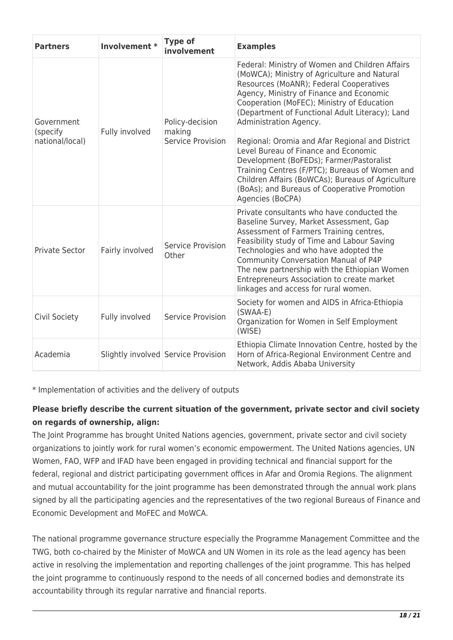| <b>Partners</b>                           | Involvement *   | <b>Type of</b><br>involvement                  | <b>Examples</b>                                                                                                                                                                                                                                                                                                                                                                                                                                                                                                                                                                                                                     |
|-------------------------------------------|-----------------|------------------------------------------------|-------------------------------------------------------------------------------------------------------------------------------------------------------------------------------------------------------------------------------------------------------------------------------------------------------------------------------------------------------------------------------------------------------------------------------------------------------------------------------------------------------------------------------------------------------------------------------------------------------------------------------------|
| Government<br>(specify<br>national/local) | Fully involved  | Policy-decision<br>making<br>Service Provision | Federal: Ministry of Women and Children Affairs<br>(MoWCA); Ministry of Agriculture and Natural<br>Resources (MoANR); Federal Cooperatives<br>Agency, Ministry of Finance and Economic<br>Cooperation (MoFEC); Ministry of Education<br>(Department of Functional Adult Literacy); Land<br>Administration Agency.<br>Regional: Oromia and Afar Regional and District<br>Level Bureau of Finance and Economic<br>Development (BoFEDs); Farmer/Pastoralist<br>Training Centres (F/PTC); Bureaus of Women and<br>Children Affairs (BoWCAs); Bureaus of Agriculture<br>(BoAs); and Bureaus of Cooperative Promotion<br>Agencies (BoCPA) |
| Private Sector                            | Fairly involved | Service Provision<br>Other                     | Private consultants who have conducted the<br>Baseline Survey, Market Assessment, Gap<br>Assessment of Farmers Training centres,<br>Feasibility study of Time and Labour Saving<br>Technologies and who have adopted the<br><b>Community Conversation Manual of P4P</b><br>The new partnership with the Ethiopian Women<br>Entrepreneurs Association to create market<br>linkages and access for rural women.                                                                                                                                                                                                                       |
| Civil Society                             | Fully involved  | Service Provision                              | Society for women and AIDS in Africa-Ethiopia<br>$(SWAA-E)$<br>Organization for Women in Self Employment<br>(WISE)                                                                                                                                                                                                                                                                                                                                                                                                                                                                                                                  |
| Academia                                  |                 | Slightly involved Service Provision            | Ethiopia Climate Innovation Centre, hosted by the<br>Horn of Africa-Regional Environment Centre and<br>Network, Addis Ababa University                                                                                                                                                                                                                                                                                                                                                                                                                                                                                              |

\* Implementation of activities and the delivery of outputs

## **Please briefly describe the current situation of the government, private sector and civil society on regards of ownership, align:**

The Joint Programme has brought United Nations agencies, government, private sector and civil society organizations to jointly work for rural women's economic empowerment. The United Nations agencies, UN Women, FAO, WFP and IFAD have been engaged in providing technical and financial support for the federal, regional and district participating government offices in Afar and Oromia Regions. The alignment and mutual accountability for the joint programme has been demonstrated through the annual work plans signed by all the participating agencies and the representatives of the two regional Bureaus of Finance and Economic Development and MoFEC and MoWCA.

The national programme governance structure especially the Programme Management Committee and the TWG, both co-chaired by the Minister of MoWCA and UN Women in its role as the lead agency has been active in resolving the implementation and reporting challenges of the joint programme. This has helped the joint programme to continuously respond to the needs of all concerned bodies and demonstrate its accountability through its regular narrative and financial reports.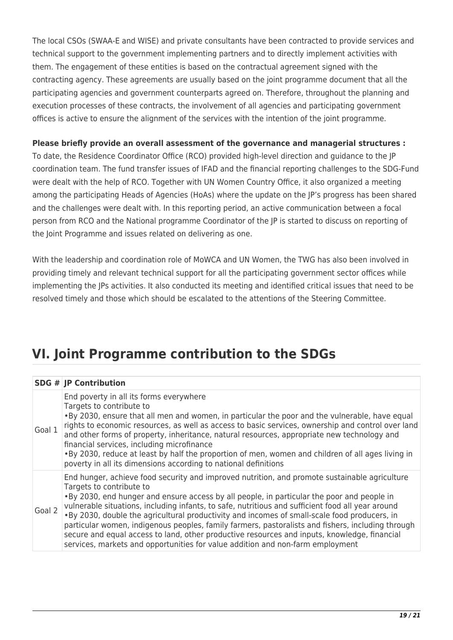The local CSOs (SWAA-E and WISE) and private consultants have been contracted to provide services and technical support to the government implementing partners and to directly implement activities with them. The engagement of these entities is based on the contractual agreement signed with the contracting agency. These agreements are usually based on the joint programme document that all the participating agencies and government counterparts agreed on. Therefore, throughout the planning and execution processes of these contracts, the involvement of all agencies and participating government offices is active to ensure the alignment of the services with the intention of the joint programme.

### **Please briefly provide an overall assessment of the governance and managerial structures :**

To date, the Residence Coordinator Office (RCO) provided high-level direction and guidance to the JP coordination team. The fund transfer issues of IFAD and the financial reporting challenges to the SDG-Fund were dealt with the help of RCO. Together with UN Women Country Office, it also organized a meeting among the participating Heads of Agencies (HoAs) where the update on the JP's progress has been shared and the challenges were dealt with. In this reporting period, an active communication between a focal person from RCO and the National programme Coordinator of the JP is started to discuss on reporting of the Joint Programme and issues related on delivering as one.

With the leadership and coordination role of MoWCA and UN Women, the TWG has also been involved in providing timely and relevant technical support for all the participating government sector offices while implementing the JPs activities. It also conducted its meeting and identified critical issues that need to be resolved timely and those which should be escalated to the attentions of the Steering Committee.

# **VI. Joint Programme contribution to the SDGs**

|        | <b>SDG # JP Contribution</b>                                                                                                                                                                                                                                                                                                                                                                                                                                                                                                                                                                                                                                                                                          |
|--------|-----------------------------------------------------------------------------------------------------------------------------------------------------------------------------------------------------------------------------------------------------------------------------------------------------------------------------------------------------------------------------------------------------------------------------------------------------------------------------------------------------------------------------------------------------------------------------------------------------------------------------------------------------------------------------------------------------------------------|
| Goal 1 | End poverty in all its forms everywhere<br>Targets to contribute to<br>. By 2030, ensure that all men and women, in particular the poor and the vulnerable, have equal<br>rights to economic resources, as well as access to basic services, ownership and control over land<br>and other forms of property, inheritance, natural resources, appropriate new technology and<br>financial services, including microfinance<br>. By 2030, reduce at least by half the proportion of men, women and children of all ages living in<br>poverty in all its dimensions according to national definitions                                                                                                                    |
| Goal 2 | End hunger, achieve food security and improved nutrition, and promote sustainable agriculture<br>Targets to contribute to<br>. By 2030, end hunger and ensure access by all people, in particular the poor and people in<br>vulnerable situations, including infants, to safe, nutritious and sufficient food all year around<br>. By 2030, double the agricultural productivity and incomes of small-scale food producers, in<br>particular women, indigenous peoples, family farmers, pastoralists and fishers, including through<br>secure and equal access to land, other productive resources and inputs, knowledge, financial<br>services, markets and opportunities for value addition and non-farm employment |